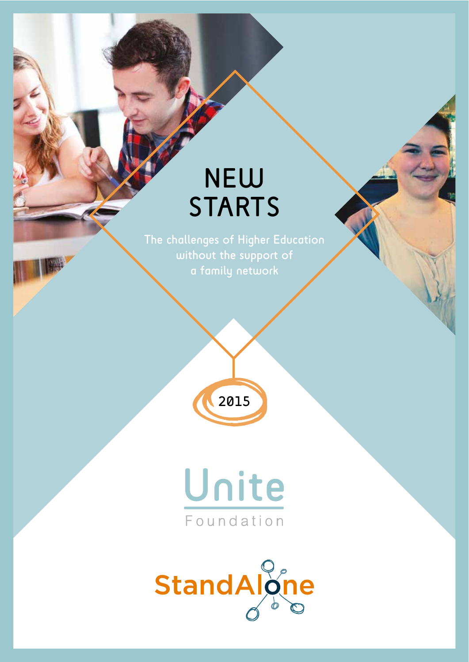# NEW **STARTS**

The challenges of Higher Education without the support of a family network





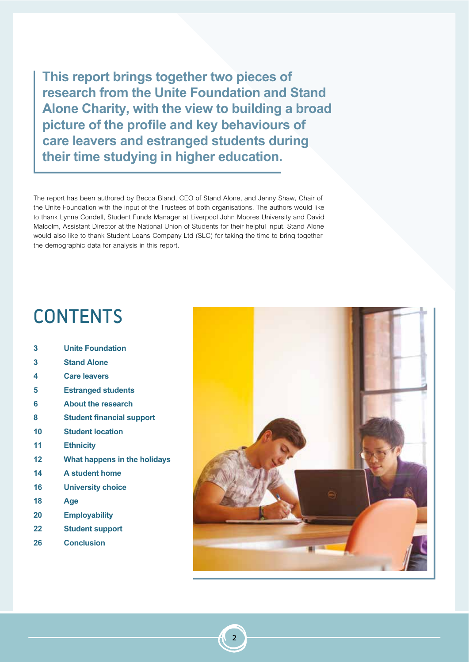**This report brings together two pieces of research from the Unite Foundation and Stand Alone Charity, with the view to building a broad picture of the profile and key behaviours of care leavers and estranged students during their time studying in higher education.**

The report has been authored by Becca Bland, CEO of Stand Alone, and Jenny Shaw, Chair of the Unite Foundation with the input of the Trustees of both organisations. The authors would like to thank Lynne Condell, Student Funds Manager at Liverpool John Moores University and David Malcolm, Assistant Director at the National Union of Students for their helpful input. Stand Alone would also like to thank Student Loans Company Ltd (SLC) for taking the time to bring together the demographic data for analysis in this report.

## **CONTENTS**

| 3  | <b>Unite Foundation</b>          |
|----|----------------------------------|
| 3  | <b>Stand Alone</b>               |
| 4  | <b>Care leavers</b>              |
| 5  | <b>Estranged students</b>        |
| 6  | <b>About the research</b>        |
| 8  | <b>Student financial support</b> |
| 10 | <b>Student location</b>          |
| 11 | <b>Ethnicity</b>                 |
| 12 | What happens in the holidays     |
| 14 | A student home                   |
| 16 | <b>University choice</b>         |
| 18 | Age                              |
| 20 | <b>Employability</b>             |
| 22 | <b>Student support</b>           |
| 26 | <b>Conclusion</b>                |
|    |                                  |



2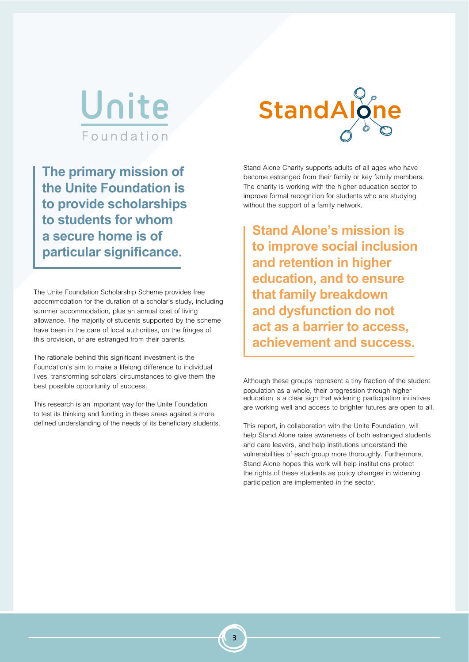

**The primary mission of the Unite Foundation is to provide scholarships to students for whom a secure home is of particular significance.**

The Unite Foundation Scholarship Scheme provides free accommodation for the duration of a scholar's study, including summer accommodation, plus an annual cost of living allowance. The majority of students supported by the scheme have been in the care of local authorities, on the fringes of this provision, or are estranged from their parents.

The rationale behind this significant investment is the Foundation's aim to make a lifelong difference to individual lives, transforming scholars' circumstances to give them the best possible opportunity of success.

This research is an important way for the Unite Foundation to test its thinking and funding in these areas against a more defined understanding of the needs of its beneficiary students.



Stand Alone Charity supports adults of all ages who have become estranged from their family or key family members. The charity is working with the higher education sector to improve formal recognition for students who are studying without the support of a family network.

**Stand Alone's mission is to improve social inclusion and retention in higher education, and to ensure that family breakdown and dysfunction do not act as a barrier to access, achievement and success.**

Although these groups represent a tiny fraction of the student population as a whole, their progression through higher education is a clear sign that widening participation initiatives are working well and access to brighter futures are open to all.

This report, in collaboration with the Unite Foundation, will help Stand Alone raise awareness of both estranged students and care leavers, and help institutions understand the vulnerabilities of each group more thoroughly. Furthermore, Stand Alone hopes this work will help institutions protect the rights of these students as policy changes in widening participation are implemented in the sector.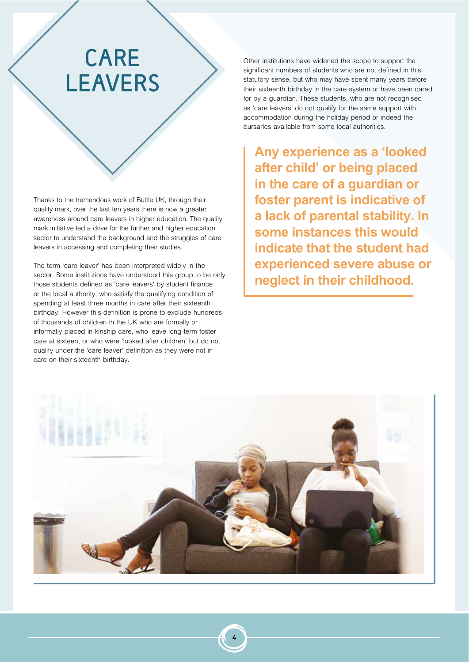## CARE LEAVERS

Thanks to the tremendous work of Buttle UK, through their quality mark, over the last ten years there is now a greater awareness around care leavers in higher education. The quality mark initiative led a drive for the further and higher education sector to understand the background and the struggles of care leavers in accessing and completing their studies.

The term 'care leaver' has been interpreted widely in the sector. Some institutions have understood this group to be only those students defined as 'care leavers' by student finance or the local authority, who satisfy the qualifying condition of spending at least three months in care after their sixteenth birthday. However this definition is prone to exclude hundreds of thousands of children in the UK who are formally or informally placed in kinship care, who leave long-term foster care at sixteen, or who were 'looked after children' but do not qualify under the 'care leaver' definition as they were not in care on their sixteenth birthday.

Other institutions have widened the scope to support the significant numbers of students who are not defined in this statutory sense, but who may have spent many years before their sixteenth birthday in the care system or have been cared for by a guardian. These students, who are not recognised as 'care leavers' do not qualify for the same support with accommodation during the holiday period or indeed the bursaries available from some local authorities.

**Any experience as a 'looked after child' or being placed in the care of a guardian or foster parent is indicative of a lack of parental stability. In some instances this would indicate that the student had experienced severe abuse or neglect in their childhood.**

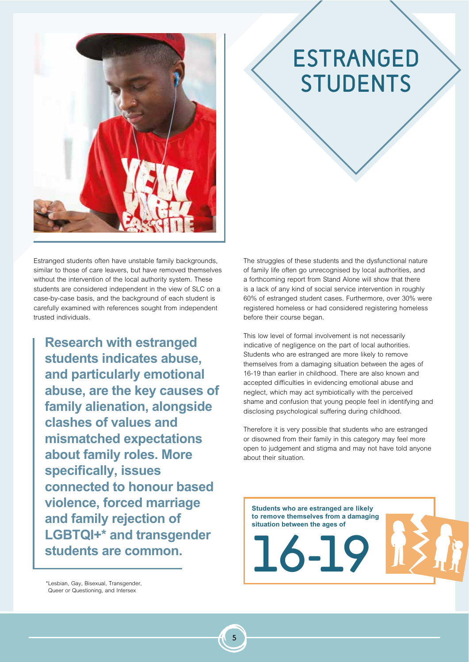

# ESTRANGED STUDENTS

Estranged students often have unstable family backgrounds, similar to those of care leavers, but have removed themselves without the intervention of the local authority system. These students are considered independent in the view of SLC on a case-by-case basis, and the background of each student is carefully examined with references sought from independent trusted individuals.

**Research with estranged students indicates abuse, and particularly emotional abuse, are the key causes of family alienation, alongside clashes of values and mismatched expectations about family roles. More specifically, issues connected to honour based violence, forced marriage and family rejection of LGBTQI+\* and transgender students are common.**

The struggles of these students and the dysfunctional nature of family life often go unrecognised by local authorities, and a forthcoming report from Stand Alone will show that there is a lack of any kind of social service intervention in roughly 60% of estranged student cases. Furthermore, over 30% were registered homeless or had considered registering homeless before their course began.

This low level of formal involvement is not necessarily indicative of negligence on the part of local authorities. Students who are estranged are more likely to remove themselves from a damaging situation between the ages of 16-19 than earlier in childhood. There are also known and accepted difficulties in evidencing emotional abuse and neglect, which may act symbiotically with the perceived shame and confusion that young people feel in identifying and disclosing psychological suffering during childhood.

Therefore it is very possible that students who are estranged or disowned from their family in this category may feel more open to judgement and stigma and may not have told anyone about their situation.



\*Lesbian, Gay, Bisexual, Transgender, Queer or Questioning, and Intersex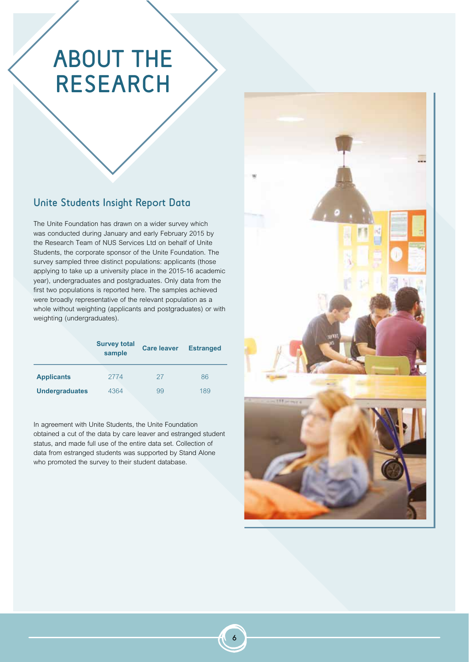# ABOUT THE RESEARCH

## Unite Students Insight Report Data

The Unite Foundation has drawn on a wider survey which was conducted during January and early February 2015 by the Research Team of NUS Services Ltd on behalf of Unite Students, the corporate sponsor of the Unite Foundation. The survey sampled three distinct populations: applicants (those applying to take up a university place in the 2015-16 academic year), undergraduates and postgraduates. Only data from the first two populations is reported here. The samples achieved were broadly representative of the relevant population as a whole without weighting (applicants and postgraduates) or with weighting (undergraduates).

|                       | <b>Survey total</b><br>sample | <b>Care leaver</b> | <b>Estranged</b> |
|-----------------------|-------------------------------|--------------------|------------------|
| <b>Applicants</b>     | 2774                          | 27                 | 86               |
| <b>Undergraduates</b> | 4364                          | 99                 | 189              |

In agreement with Unite Students, the Unite Foundation obtained a cut of the data by care leaver and estranged student status, and made full use of the entire data set. Collection of data from estranged students was supported by Stand Alone who promoted the survey to their student database.

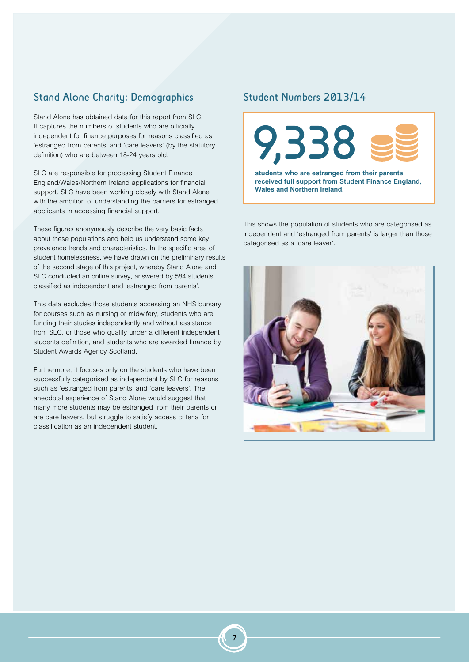## Stand Alone Charity: Demographics

Stand Alone has obtained data for this report from SLC. It captures the numbers of students who are officially independent for finance purposes for reasons classified as 'estranged from parents' and 'care leavers' (by the statutory definition) who are between 18-24 years old.

SLC are responsible for processing Student Finance England/Wales/Northern Ireland applications for financial support. SLC have been working closely with Stand Alone with the ambition of understanding the barriers for estranged applicants in accessing financial support.

These figures anonymously describe the very basic facts about these populations and help us understand some key prevalence trends and characteristics. In the specific area of student homelessness, we have drawn on the preliminary results of the second stage of this project, whereby Stand Alone and SLC conducted an online survey, answered by 584 students classified as independent and 'estranged from parents'.

This data excludes those students accessing an NHS bursary for courses such as nursing or midwifery, students who are funding their studies independently and without assistance from SLC, or those who qualify under a different independent students definition, and students who are awarded finance by Student Awards Agency Scotland.

Furthermore, it focuses only on the students who have been successfully categorised as independent by SLC for reasons such as 'estranged from parents' and 'care leavers'. The anecdotal experience of Stand Alone would suggest that many more students may be estranged from their parents or are care leavers, but struggle to satisfy access criteria for classification as an independent student.

## Student Numbers 2013/14



**received full support from Student Finance England, Wales and Northern Ireland.** 

This shows the population of students who are categorised as independent and 'estranged from parents' is larger than those categorised as a 'care leaver'.

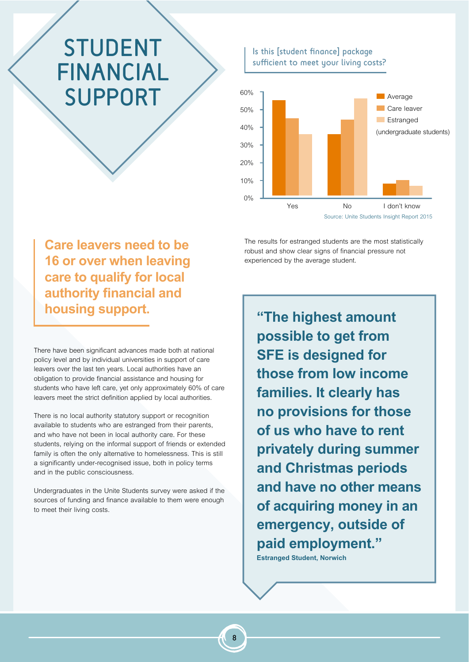# STUDENT FINANCIAL SUPPORT 100%

**N** Average Care leaver **Estranged** Is this [student finance] package sufficient to meet your living costs? 50% 40% 30% 20% 10% 0% Yes No I don't know Source: Unite Students Insight Report 2015 (undergraduate students)

The results for estranged students are the most statistically robust and show clear signs of financial pressure not experienced by the average student.

**Care leavers need to be 16 or over when leaving care to qualify for local authority financial and housing support.**

There have been significant advances made both at national policy level and by individual universities in support of care leavers over the last ten years. Local authorities have an obligation to provide financial assistance and housing for students who have left care, yet only approximately 60% of care leavers meet the strict definition applied by local authorities.

There is no local authority statutory support or recognition available to students who are estranged from their parents, and who have not been in local authority care. For these students, relying on the informal support of friends or extended family is often the only alternative to homelessness. This is still a significantly under-recognised issue, both in policy terms and in the public consciousness.

Undergraduates in the Unite Students survey were asked if the sources of funding and finance available to them were enough to meet their living costs.

**"The highest amount possible to get from SFE is designed for those from low income families. It clearly has no provisions for those of us who have to rent privately during summer and Christmas periods and have no other means of acquiring money in an emergency, outside of paid employment." Estranged Student, Norwich**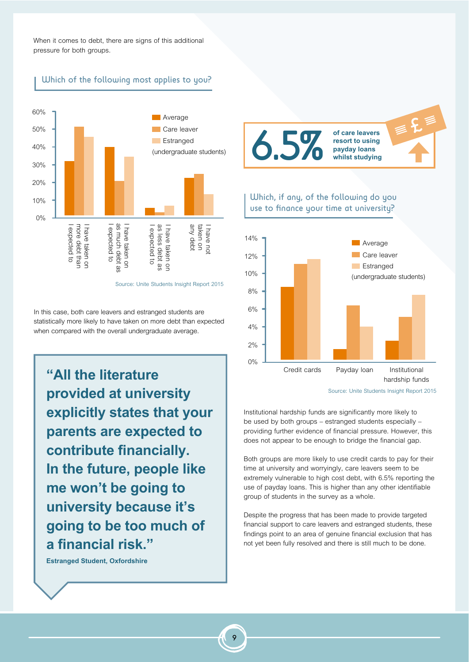When it comes to debt, there are signs of this additional pressure for both groups.

Which of the following most applies to you?



Source: Unite Students Insight Report 2015

In this case, both care leavers and estranged students are statistically more likely to have taken on more debt than expected when compared with the overall undergraduate average.

**"All the literature provided at university explicitly states that your parents are expected to contribute financially. In the future, people like me won't be going to university because it's going to be too much of a financial risk."**

**Estranged Student, Oxfordshire**



Which, if any, of the following do you use to finance your time at university?



Source: Unite Students Insight Report 2015

Institutional hardship funds are significantly more likely to be used by both groups – estranged students especially – providing further evidence of financial pressure. However, this does not appear to be enough to bridge the financial gap.

Both groups are more likely to use credit cards to pay for their time at university and worryingly, care leavers seem to be extremely vulnerable to high cost debt, with 6.5% reporting the use of payday loans. This is higher than any other identifiable group of students in the survey as a whole.

Despite the progress that has been made to provide targeted financial support to care leavers and estranged students, these findings point to an area of genuine financial exclusion that has not yet been fully resolved and there is still much to be done.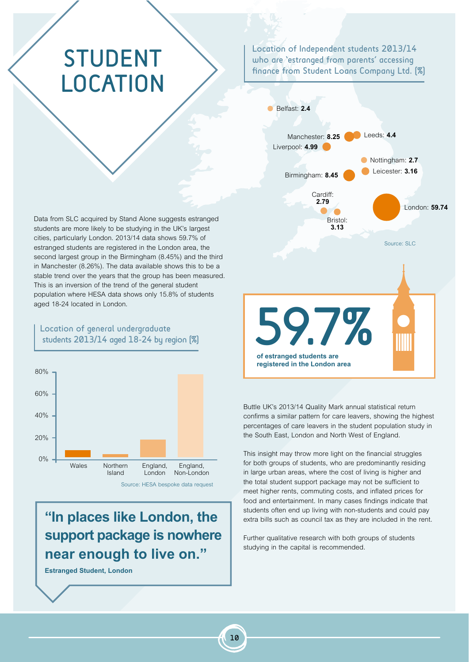# STUDENT **LOCATION**

Location of Independent students 2013/14 who are 'estranged from parents' accessing finance from Student Loans Company Ltd. [%]



Buttle UK's 2013/14 Quality Mark annual statistical return confirms a similar pattern for care leavers, showing the highest percentages of care leavers in the student population study in the South East, London and North West of England.

This insight may throw more light on the financial struggles for both groups of students, who are predominantly residing in large urban areas, where the cost of living is higher and the total student support package may not be sufficient to meet higher rents, commuting costs, and inflated prices for food and entertainment. In many cases findings indicate that students often end up living with non-students and could pay extra bills such as council tax as they are included in the rent.

Further qualitative research with both groups of students studying in the capital is recommended.

Data from SLC acquired by Stand Alone suggests estranged students are more likely to be studying in the UK's largest cities, particularly London. 2013/14 data shows 59.7% of estranged students are registered in the London area, the second largest group in the Birmingham (8.45%) and the third in Manchester (8.26%). The data available shows this to be a stable trend over the years that the group has been measured. This is an inversion of the trend of the general student population where HESA data shows only 15.8% of students aged 18-24 located in London.

### Location of general undergraduate students  $2013/14$  aged  $18-24$  by region  $\lbrack \% \rbrack$



## **"In places like London, the support package is nowhere near enough to live on."**

**Estranged Student, London**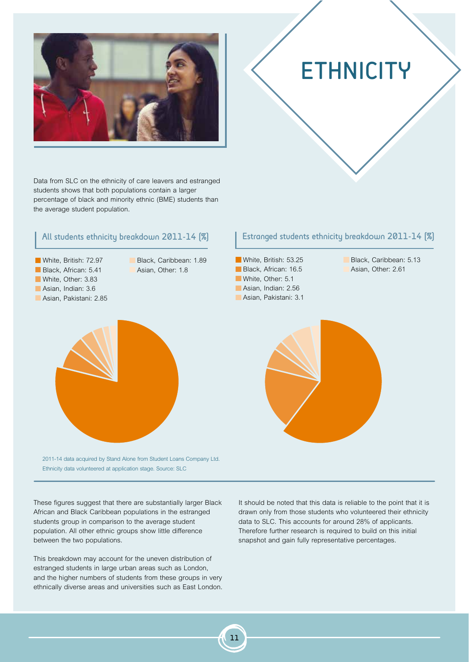

Data from SLC on the ethnicity of care leavers and estranged students shows that both populations contain a larger percentage of black and minority ethnic (BME) students than the average student population.

### All students ethnicity breakdown 2011-14 [%]



Black, Caribbean: 1.89 Asian, Other: 1.8



## **ETHNICITY**

### Estranged students ethnicity breakdown 2011-14 [%]

White, British: 53.25 Black, African: 16.5 White, Other: 5.1 Asian, Indian: 2.56 Asian, Pakistani: 3.1

Black, Caribbean: 5.13 Asian, Other: 2.61



2011-14 data acquired by Stand Alone from Student Loans Company Ltd. Ethnicity data volunteered at application stage. Source: SLC

These figures suggest that there are substantially larger Black African and Black Caribbean populations in the estranged students group in comparison to the average student population. All other ethnic groups show little difference between the two populations.

This breakdown may account for the uneven distribution of estranged students in large urban areas such as London, and the higher numbers of students from these groups in very ethnically diverse areas and universities such as East London. It should be noted that this data is reliable to the point that it is drawn only from those students who volunteered their ethnicity data to SLC. This accounts for around 28% of applicants. Therefore further research is required to build on this initial snapshot and gain fully representative percentages.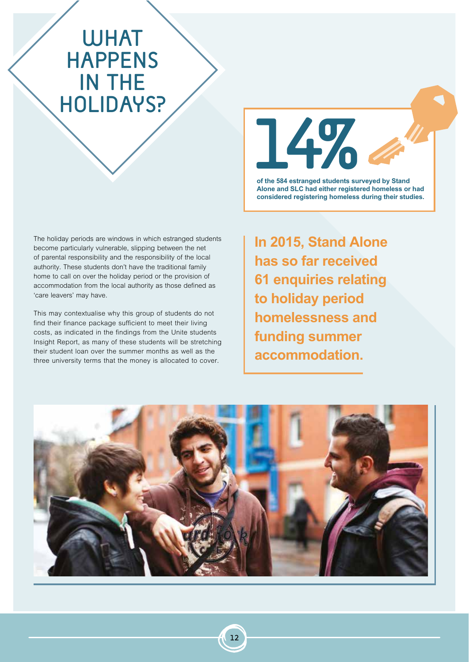## **WHAT** HAPPENS IN THE HOLIDAYS?

The holiday periods are windows in which estranged students become particularly vulnerable, slipping between the net of parental responsibility and the responsibility of the local authority. These students don't have the traditional family home to call on over the holiday period or the provision of accommodation from the local authority as those defined as 'care leavers' may have.

This may contextualise why this group of students do not find their finance package sufficient to meet their living costs, as indicated in the findings from the Unite students Insight Report, as many of these students will be stretching their student loan over the summer months as well as the three university terms that the money is allocated to cover.



**of the 584 estranged students surveyed by Stand Alone and SLC had either registered homeless or had considered registering homeless during their studies.** 

**In 2015, Stand Alone has so far received 61 enquiries relating to holiday period homelessness and funding summer accommodation.**

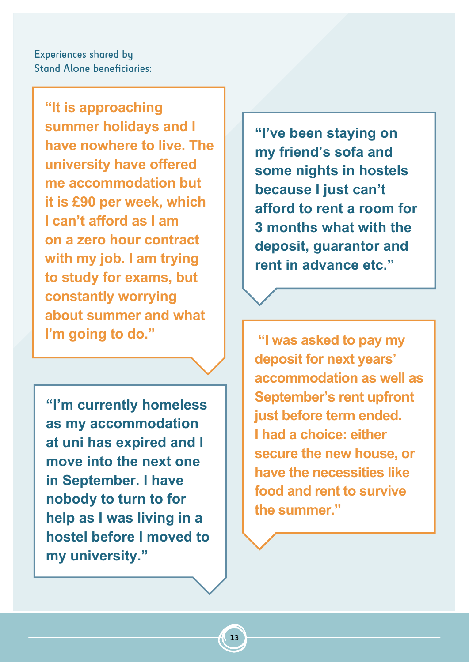Experiences shared by Stand Alone beneficiaries:

**"It is approaching summer holidays and I have nowhere to live. The university have offered me accommodation but it is £90 per week, which I can't afford as I am on a zero hour contract with my job. I am trying to study for exams, but constantly worrying about summer and what I'm going to do."** 

**"I'm currently homeless as my accommodation at uni has expired and I move into the next one in September. I have nobody to turn to for help as I was living in a hostel before I moved to my university."** 

**"I've been staying on my friend's sofa and some nights in hostels because I just can't afford to rent a room for 3 months what with the deposit, guarantor and rent in advance etc."** 

 **"I was asked to pay my deposit for next years' accommodation as well as September's rent upfront just before term ended. I had a choice: either secure the new house, or have the necessities like food and rent to survive the summer."**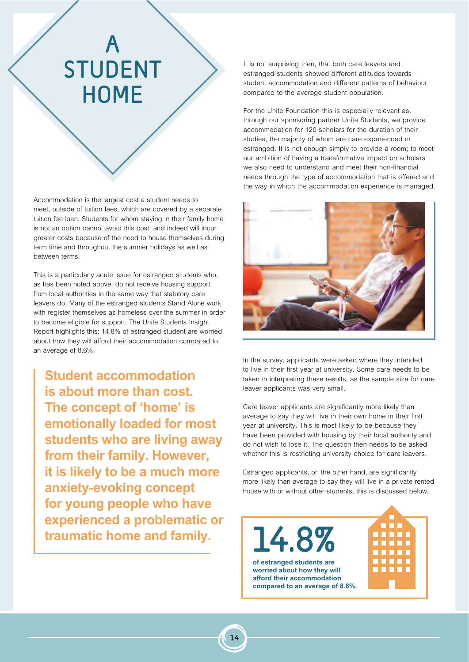# A STUDENT **HOME**

Accommodation is the largest cost a student needs to meet, outside of tuition fees, which are covered by a separate tuition fee loan. Students for whom staying in their family home is not an option cannot avoid this cost, and indeed will incur greater costs because of the need to house themselves during term time and throughout the summer holidays as well as between terms.

This is a particularly acute issue for estranged students who, as has been noted above, do not receive housing support from local authorities in the same way that statutory care leavers do. Many of the estranged students Stand Alone work with register themselves as homeless over the summer in order to become eligible for support. The Unite Students Insight Report highlights this: 14.8% of estranged student are worried about how they will afford their accommodation compared to an average of 8.6%.

**Student accommodation is about more than cost. The concept of 'home' is emotionally loaded for most students who are living away from their family. However, it is likely to be a much more anxiety-evoking concept for young people who have experienced a problematic or traumatic home and family.**

It is not surprising then, that both care leavers and estranged students showed different attitudes towards student accommodation and different patterns of behaviour compared to the average student population.

For the Unite Foundation this is especially relevant as, through our sponsoring partner Unite Students, we provide accommodation for 120 scholars for the duration of their studies, the majority of whom are care experienced or estranged. It is not enough simply to provide a room; to meet our ambition of having a transformative impact on scholars we also need to understand and meet their non-financial needs through the type of accommodation that is offered and the way in which the accommodation experience is managed.



In the survey, applicants were asked where they intended to live in their first year at university. Some care needs to be taken in interpreting these results, as the sample size for care leaver applicants was very small.

Care leaver applicants are significantly more likely than average to say they will live in their own home in their first year at university. This is most likely to be because they have been provided with housing by their local authority and do not wish to lose it. The question then needs to be asked whether this is restricting university choice for care leavers.

Estranged applicants, on the other hand, are significantly more likely than average to say they will live in a private rented house with or without other students, this is discussed below.

14.8%

**of estranged students are worried about how they will afford their accommodation compared to an average of 8.6%.** 

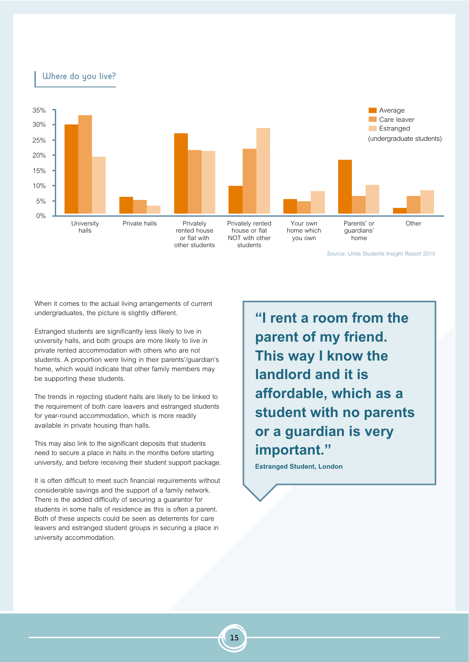

When it comes to the actual living arrangements of current undergraduates, the picture is slightly different.

Estranged students are significantly less likely to live in university halls, and both groups are more likely to live in private rented accommodation with others who are not students. A proportion were living in their parents'/guardian's home, which would indicate that other family members may be supporting these students.

The trends in rejecting student halls are likely to be linked to the requirement of both care leavers and estranged students for year-round accommodation, which is more readily available in private housing than halls.

This may also link to the significant deposits that students need to secure a place in halls in the months before starting university, and before receiving their student support package.

It is often difficult to meet such financial requirements without considerable savings and the support of a family network. There is the added difficulty of securing a guarantor for students in some halls of residence as this is often a parent. Both of these aspects could be seen as deterrents for care leavers and estranged student groups in securing a place in university accommodation.

**"I rent a room from the parent of my friend. This way I know the landlord and it is affordable, which as a student with no parents or a guardian is very important."**

**Estranged Student, London**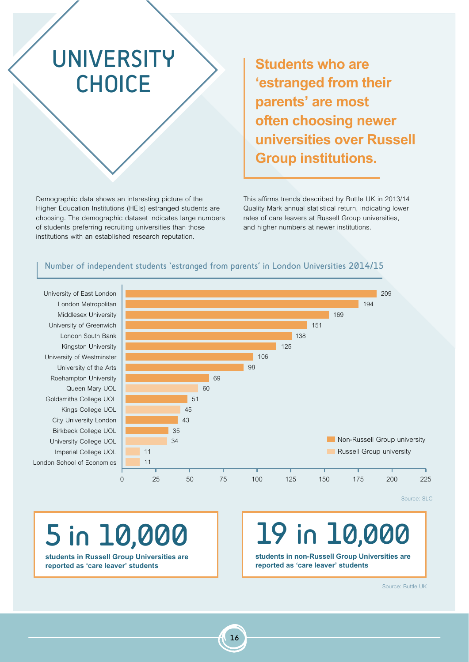# UNIVERSITY CHOICE

Demographic data shows an interesting picture of the Higher Education Institutions (HEIs) estranged students are choosing. The demographic dataset indicates large numbers of students preferring recruiting universities than those institutions with an established research reputation.

**Students who are 'estranged from their parents' are most often choosing newer universities over Russell Group institutions.** 

This affirms trends described by Buttle UK in 2013/14 Quality Mark annual statistical return, indicating lower rates of care leavers at Russell Group universities, and higher numbers at newer institutions.

### Number of independent students 'estranged from parents' in London Universities 2014/15

Middlesex University London South Bank London Metropolitan University of Greenwich London School of Economics Imperial College UOL University College UOL Birkbeck College UOL City University London Kings College UOL Goldsmiths College UOL Queen Mary UOL Roehampton University University of the Arts University of Westminster Kingston University



Source: SLC

# 5 in 10,000

**students in Russell Group Universities are reported as 'care leaver' students**

# 19 in 10,000

**students in non-Russell Group Universities are reported as 'care leaver' students**

Source: Buttle UK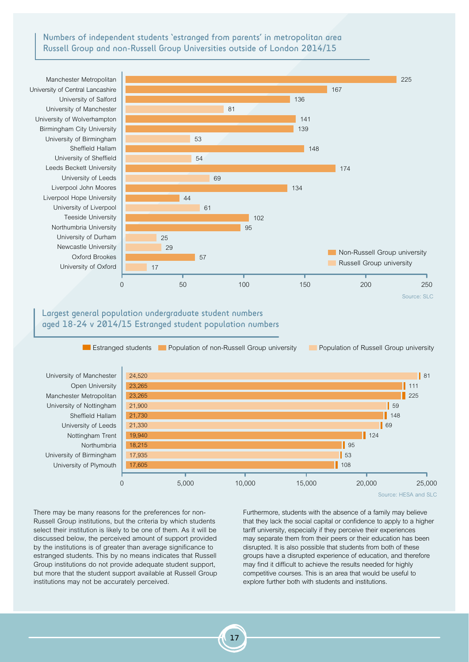Numbers of independent students 'estranged from parents' in metropolitan area Russell Group and non-Russell Group Universities outside of London 2014/15

University of Durham Liverpool John Moores Birmingham City University Oxford Brookes Teeside University Leeds Beckett University University of Manchester University of Central Lancashire University of Oxford Northumbria University University of Leeds University of Wolverhampton Newcastle University Liverpool Hope University Sheffield Hallam University of Birmingham University of Liverpool University of Sheffield University of Salford Manchester Metropolitan



### Largest general population undergraduate student numbers aged 18-24 v 2014/15 Estranged student population numbers



Source: HESA and SLC

There may be many reasons for the preferences for non-Russell Group institutions, but the criteria by which students select their institution is likely to be one of them. As it will be discussed below, the perceived amount of support provided by the institutions is of greater than average significance to estranged students. This by no means indicates that Russell Group institutions do not provide adequate student support, but more that the student support available at Russell Group institutions may not be accurately perceived.

Furthermore, students with the absence of a family may believe that they lack the social capital or confidence to apply to a higher tariff university, especially if they perceive their experiences may separate them from their peers or their education has been disrupted. It is also possible that students from both of these groups have a disrupted experience of education, and therefore may find it difficult to achieve the results needed for highly competitive courses. This is an area that would be useful to explore further both with students and institutions.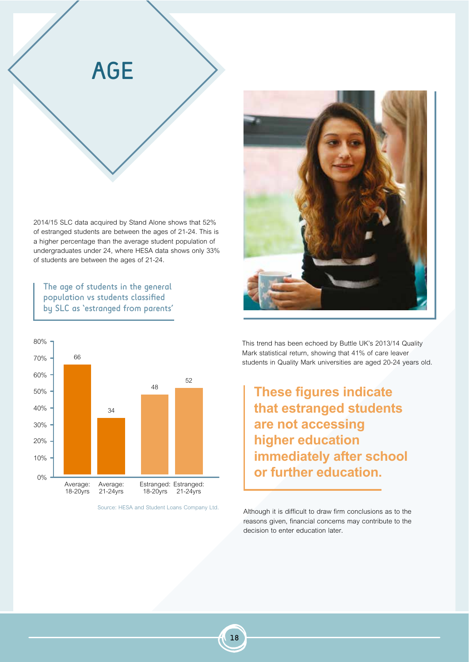

2014/15 SLC data acquired by Stand Alone shows that 52% of estranged students are between the ages of 21-24. This is a higher percentage than the average student population of undergraduates under 24, where HESA data shows only 33% of students are between the ages of 21-24.

The age of students in the general population vs students classified by SLC as 'estranged from parents'





This trend has been echoed by Buttle UK's 2013/14 Quality Mark statistical return, showing that 41% of care leaver students in Quality Mark universities are aged 20-24 years old.

**These figures indicate that estranged students are not accessing higher education immediately after school or further education.** 

Source: HESA and Student Loans Company Ltd. Although it is difficult to draw firm conclusions as to the reasons given, financial concerns may contribute to the decision to enter education later.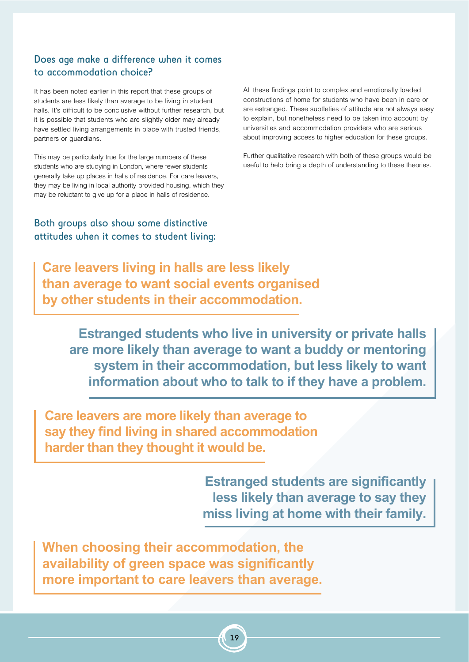## Does age make a difference when it comes to accommodation choice?

It has been noted earlier in this report that these groups of students are less likely than average to be living in student halls. It's difficult to be conclusive without further research, but it is possible that students who are slightly older may already have settled living arrangements in place with trusted friends, partners or guardians.

This may be particularly true for the large numbers of these students who are studying in London, where fewer students generally take up places in halls of residence. For care leavers, they may be living in local authority provided housing, which they may be reluctant to give up for a place in halls of residence.

Both groups also show some distinctive attitudes when it comes to student living: All these findings point to complex and emotionally loaded constructions of home for students who have been in care or are estranged. These subtleties of attitude are not always easy to explain, but nonetheless need to be taken into account by universities and accommodation providers who are serious about improving access to higher education for these groups.

Further qualitative research with both of these groups would be useful to help bring a depth of understanding to these theories.

**Care leavers living in halls are less likely than average to want social events organised by other students in their accommodation.**

**Estranged students who live in university or private halls are more likely than average to want a buddy or mentoring system in their accommodation, but less likely to want information about who to talk to if they have a problem.**

**Care leavers are more likely than average to say they find living in shared accommodation harder than they thought it would be.**

> **Estranged students are significantly less likely than average to say they miss living at home with their family.**

**When choosing their accommodation, the availability of green space was significantly more important to care leavers than average.**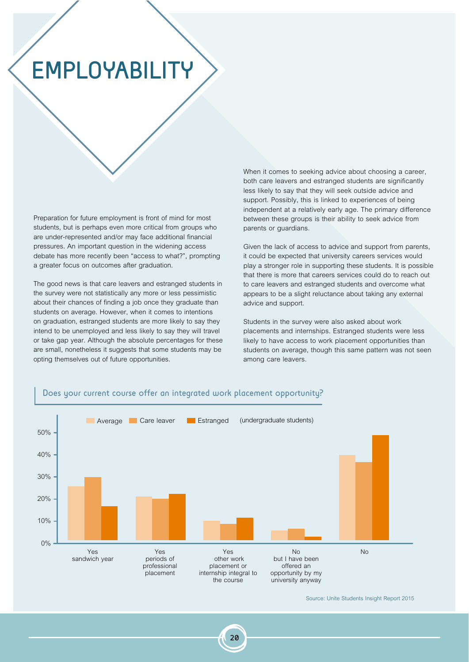# **EMPLOYABILITY**

Preparation for future employment is front of mind for most students, but is perhaps even more critical from groups who are under-represented and/or may face additional financial pressures. An important question in the widening access debate has more recently been "access to what?", prompting a greater focus on outcomes after graduation.

The good news is that care leavers and estranged students in the survey were not statistically any more or less pessimistic about their chances of finding a job once they graduate than students on average. However, when it comes to intentions on graduation, estranged students are more likely to say they intend to be unemployed and less likely to say they will travel or take gap year. Although the absolute percentages for these are small, nonetheless it suggests that some students may be opting themselves out of future opportunities.

When it comes to seeking advice about choosing a career, both care leavers and estranged students are significantly less likely to say that they will seek outside advice and support. Possibly, this is linked to experiences of being independent at a relatively early age. The primary difference between these groups is their ability to seek advice from parents or guardians.

Given the lack of access to advice and support from parents, it could be expected that university careers services would play a stronger role in supporting these students. It is possible that there is more that careers services could do to reach out to care leavers and estranged students and overcome what appears to be a slight reluctance about taking any external advice and support.

Students in the survey were also asked about work placements and internships. Estranged students were less likely to have access to work placement opportunities than students on average, though this same pattern was not seen among care leavers.



### Does your current course offer an integrated work placement opportunity?

Source: Unite Students Insight Report 2015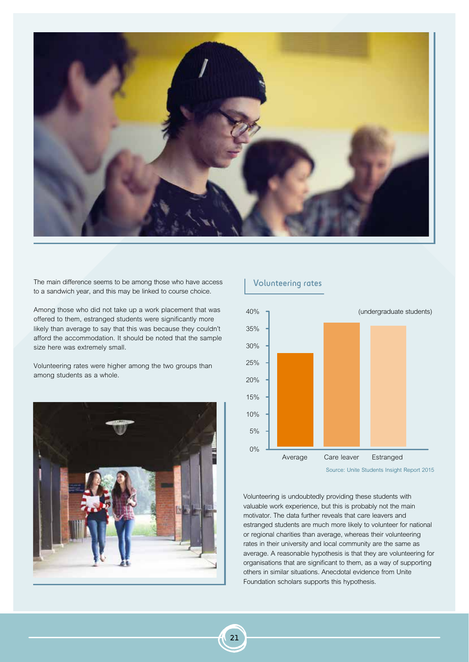

The main difference seems to be among those who have access to a sandwich year, and this may be linked to course choice.

Among those who did not take up a work placement that was offered to them, estranged students were significantly more likely than average to say that this was because they couldn't afford the accommodation. It should be noted that the sample size here was extremely small.

Volunteering rates were higher among the two groups than among students as a whole.



### Volunteering rates



Volunteering is undoubtedly providing these students with valuable work experience, but this is probably not the main motivator. The data further reveals that care leavers and estranged students are much more likely to volunteer for national or regional charities than average, whereas their volunteering rates in their university and local community are the same as average. A reasonable hypothesis is that they are volunteering for organisations that are significant to them, as a way of supporting others in similar situations. Anecdotal evidence from Unite Foundation scholars supports this hypothesis.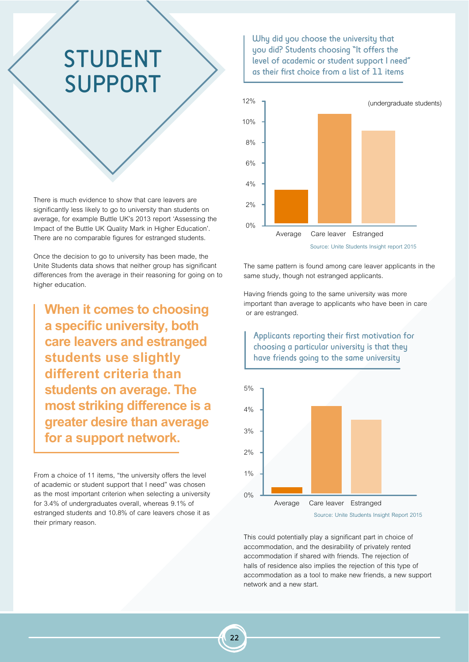## STUDENT SUPPORT

There is much evidence to show that care leavers are significantly less likely to go to university than students on average, for example Buttle UK's 2013 report 'Assessing the Impact of the Buttle UK Quality Mark in Higher Education'. There are no comparable figures for estranged students.

Once the decision to go to university has been made, the Unite Students data shows that neither group has significant differences from the average in their reasoning for going on to higher education.

**When it comes to choosing a specific university, both care leavers and estranged students use slightly different criteria than students on average. The most striking difference is a greater desire than average for a support network.** 

From a choice of 11 items, "the university offers the level of academic or student support that I need" was chosen as the most important criterion when selecting a university for 3.4% of undergraduates overall, whereas 9.1% of estranged students and 10.8% of care leavers chose it as their primary reason.

Uhy did you choose the university that you did? Students choosing "It offers the level of academic or student support I need" as their first choice from a list of 11 items



The same pattern is found among care leaver applicants in the same study, though not estranged applicants.

Having friends going to the same university was more important than average to applicants who have been in care or are estranged.



This could potentially play a significant part in choice of accommodation, and the desirability of privately rented accommodation if shared with friends. The rejection of halls of residence also implies the rejection of this type of accommodation as a tool to make new friends, a new support network and a new start.

## Applicants reporting their first motivation for choosing a particular university is that they have friends going to the same university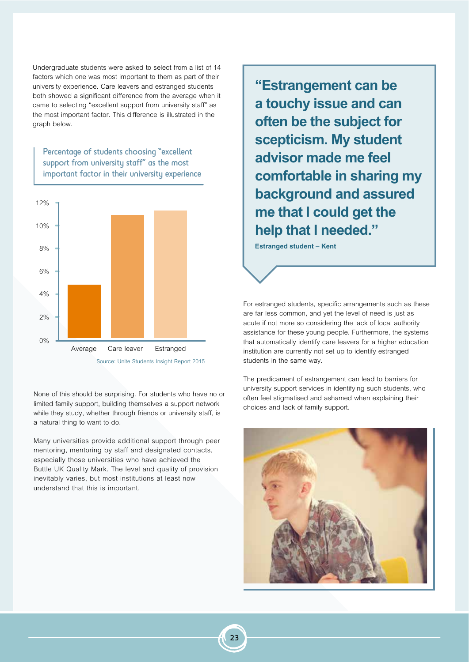Undergraduate students were asked to select from a list of 14 factors which one was most important to them as part of their university experience. Care leavers and estranged students both showed a significant difference from the average when it came to selecting "excellent support from university staff" as the most important factor. This difference is illustrated in the graph below.

Percentage of students choosing "excellent support from university staff" as the most important factor in their university experience



None of this should be surprising. For students who have no or limited family support, building themselves a support network while they study, whether through friends or university staff, is a natural thing to want to do.

Many universities provide additional support through peer mentoring, mentoring by staff and designated contacts, especially those universities who have achieved the Buttle UK Quality Mark. The level and quality of provision inevitably varies, but most institutions at least now understand that this is important.

**"Estrangement can be a touchy issue and can often be the subject for scepticism. My student advisor made me feel comfortable in sharing my background and assured me that I could get the help that I needed."**

**Estranged student – Kent**

For estranged students, specific arrangements such as these are far less common, and yet the level of need is just as acute if not more so considering the lack of local authority assistance for these young people. Furthermore, the systems that automatically identify care leavers for a higher education institution are currently not set up to identify estranged students in the same way.

The predicament of estrangement can lead to barriers for university support services in identifying such students, who often feel stigmatised and ashamed when explaining their choices and lack of family support.

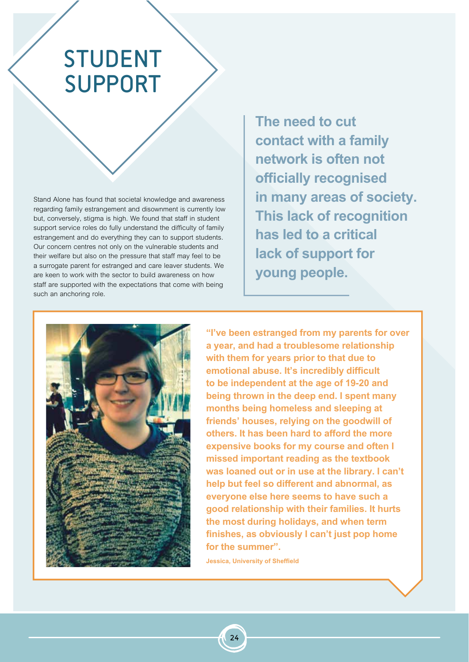# STUDENT SUPPORT

Stand Alone has found that societal knowledge and awareness regarding family estrangement and disownment is currently low but, conversely, stigma is high. We found that staff in student support service roles do fully understand the difficulty of family estrangement and do everything they can to support students. Our concern centres not only on the vulnerable students and their welfare but also on the pressure that staff may feel to be a surrogate parent for estranged and care leaver students. We are keen to work with the sector to build awareness on how staff are supported with the expectations that come with being such an anchoring role.

**The need to cut contact with a family network is often not officially recognised in many areas of society. This lack of recognition has led to a critical lack of support for young people.**



**"I've been estranged from my parents for over a year, and had a troublesome relationship with them for years prior to that due to emotional abuse. It's incredibly difficult to be independent at the age of 19-20 and being thrown in the deep end. I spent many months being homeless and sleeping at friends' houses, relying on the goodwill of others. It has been hard to afford the more expensive books for my course and often I missed important reading as the textbook was loaned out or in use at the library. I can't help but feel so different and abnormal, as everyone else here seems to have such a good relationship with their families. It hurts the most during holidays, and when term finishes, as obviously I can't just pop home for the summer".** 

**Jessica, University of Sheffield**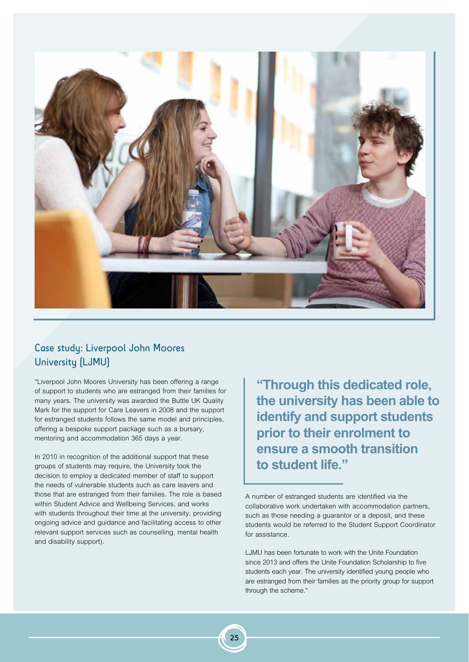

## Case study: Liverpool John Moores University [LJMU]

"Liverpool John Moores University has been offering a range of support to students who are estranged from their families for many years. The university was awarded the Buttle UK Quality Mark for the support for Care Leavers in 2008 and the support for estranged students follows the same model and principles, offering a bespoke support package such as a bursary, mentoring and accommodation 365 days a year.

In 2010 in recognition of the additional support that these groups of students may require, the University took the decision to employ a dedicated member of staff to support the needs of vulnerable students such as care leavers and those that are estranged from their families. The role is based within Student Advice and Wellbeing Services, and works with students throughout their time at the university, providing ongoing advice and guidance and facilitating access to other relevant support services such as counselling, mental health and disability support).

**"Through this dedicated role, the university has been able to identify and support students prior to their enrolment to ensure a smooth transition to student life."**

A number of estranged students are identified via the collaborative work undertaken with accommodation partners, such as those needing a guarantor or a deposit, and these students would be referred to the Student Support Coordinator for assistance.

LJMU has been fortunate to work with the Unite Foundation since 2013 and offers the Unite Foundation Scholarship to five students each year. The university identified young people who are estranged from their families as the priority group for support through the scheme."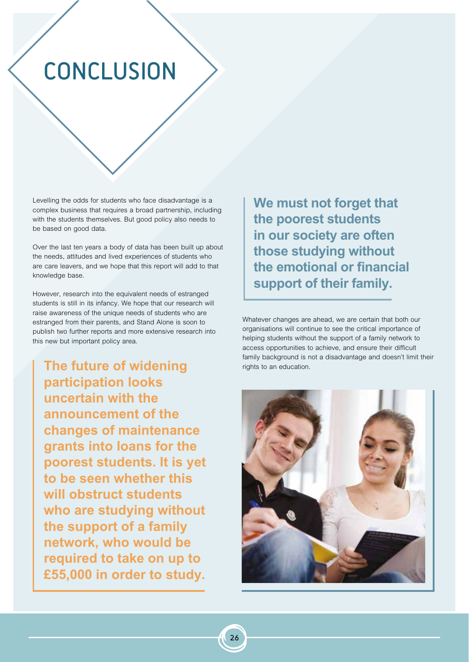# CONCLUSION

Levelling the odds for students who face disadvantage is a complex business that requires a broad partnership, including with the students themselves. But good policy also needs to be based on good data.

Over the last ten years a body of data has been built up about the needs, attitudes and lived experiences of students who are care leavers, and we hope that this report will add to that knowledge base.

However, research into the equivalent needs of estranged students is still in its infancy. We hope that our research will raise awareness of the unique needs of students who are estranged from their parents, and Stand Alone is soon to publish two further reports and more extensive research into this new but important policy area.

**The future of widening participation looks uncertain with the announcement of the changes of maintenance grants into loans for the poorest students. It is yet to be seen whether this will obstruct students who are studying without the support of a family network, who would be required to take on up to £55,000 in order to study.** 

**We must not forget that the poorest students in our society are often those studying without the emotional or financial support of their family.**

Whatever changes are ahead, we are certain that both our organisations will continue to see the critical importance of helping students without the support of a family network to access opportunities to achieve, and ensure their difficult family background is not a disadvantage and doesn't limit their rights to an education.

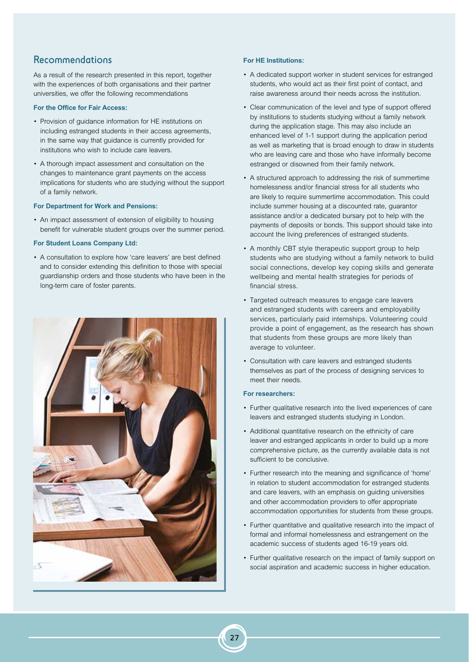## Recommendations

As a result of the research presented in this report, together with the experiences of both organisations and their partner universities, we offer the following recommendations

### **For the Office for Fair Access:**

- Provision of guidance information for HE institutions on including estranged students in their access agreements, in the same way that guidance is currently provided for institutions who wish to include care leavers.
- A thorough impact assessment and consultation on the changes to maintenance grant payments on the access implications for students who are studying without the support of a family network.

### **For Department for Work and Pensions:**

• An impact assessment of extension of eligibility to housing benefit for vulnerable student groups over the summer period.

#### **For Student Loans Company Ltd:**

• A consultation to explore how 'care leavers' are best defined and to consider extending this definition to those with special guardianship orders and those students who have been in the long-term care of foster parents.



### **For HE Institutions:**

- A dedicated support worker in student services for estranged students, who would act as their first point of contact, and raise awareness around their needs across the institution.
- Clear communication of the level and type of support offered by institutions to students studying without a family network during the application stage. This may also include an enhanced level of 1-1 support during the application period as well as marketing that is broad enough to draw in students who are leaving care and those who have informally become estranged or disowned from their family network.
- A structured approach to addressing the risk of summertime homelessness and/or financial stress for all students who are likely to require summertime accommodation. This could include summer housing at a discounted rate, guarantor assistance and/or a dedicated bursary pot to help with the payments of deposits or bonds. This support should take into account the living preferences of estranged students.
- A monthly CBT style therapeutic support group to help students who are studying without a family network to build social connections, develop key coping skills and generate wellbeing and mental health strategies for periods of financial stress.
- Targeted outreach measures to engage care leavers and estranged students with careers and employability services, particularly paid internships. Volunteering could provide a point of engagement, as the research has shown that students from these groups are more likely than average to volunteer.
- Consultation with care leavers and estranged students themselves as part of the process of designing services to meet their needs.

### **For researchers:**

- Further qualitative research into the lived experiences of care leavers and estranged students studying in London.
- Additional quantitative research on the ethnicity of care leaver and estranged applicants in order to build up a more comprehensive picture, as the currently available data is not sufficient to be conclusive.
- Further research into the meaning and significance of 'home' in relation to student accommodation for estranged students and care leavers, with an emphasis on guiding universities and other accommodation providers to offer appropriate accommodation opportunities for students from these groups.
- Further quantitative and qualitative research into the impact of formal and informal homelessness and estrangement on the academic success of students aged 16-19 years old.
- Further qualitative research on the impact of family support on social aspiration and academic success in higher education.